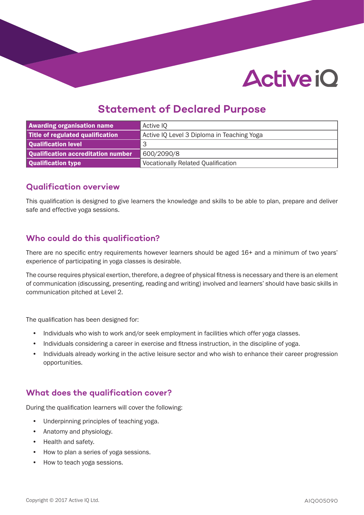# **Active iO**

### **Statement of Declared Purpose**

| <b>Awarding organisation name</b>  | Active IQ                                  |
|------------------------------------|--------------------------------------------|
| Title of regulated qualification   | Active IQ Level 3 Diploma in Teaching Yoga |
| Qualification level                | З                                          |
| Qualification accreditation number | 600/2090/8                                 |
| Qualification type                 | <b>Vocationally Related Qualification</b>  |

#### **Qualification overview**

This qualification is designed to give learners the knowledge and skills to be able to plan, prepare and deliver safe and effective yoga sessions.

#### **Who could do this qualification?**

There are no specific entry requirements however learners should be aged 16+ and a minimum of two years' experience of participating in yoga classes is desirable.

The course requires physical exertion, therefore, a degree of physical fitness is necessary and there is an element of communication (discussing, presenting, reading and writing) involved and learners' should have basic skills in communication pitched at Level 2.

The qualification has been designed for:

- Individuals who wish to work and/or seek employment in facilities which offer yoga classes.
- Individuals considering a career in exercise and fitness instruction, in the discipline of yoga.
- Individuals already working in the active leisure sector and who wish to enhance their career progression opportunities.

#### **What does the qualification cover?**

During the qualification learners will cover the following:

- Underpinning principles of teaching yoga.
- Anatomy and physiology.
- Health and safety.
- How to plan a series of yoga sessions.
- How to teach yoga sessions.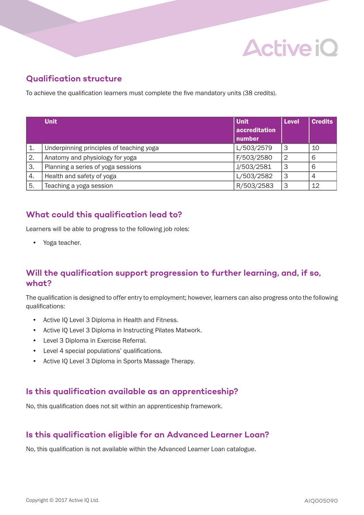

#### **Qualification structure**

To achieve the qualification learners must complete the five mandatory units (38 credits).

|    | <b>Unit</b>                              | <b>Unit</b>   | <b>Level</b>   | <b>Credits</b> |
|----|------------------------------------------|---------------|----------------|----------------|
|    |                                          | accreditation |                |                |
|    |                                          | number        |                |                |
| 1. | Underpinning principles of teaching yoga | L/503/2579    | 3              | 10             |
| 2. | Anatomy and physiology for yoga          | F/503/2580    | $\overline{2}$ | 6              |
| 3. | Planning a series of yoga sessions       | J/503/2581    | 3              | 6              |
| 4. | Health and safety of yoga                | L/503/2582    | 3              | 4              |
| 5. | Teaching a yoga session                  | R/503/2583    | 3              | 12             |

#### **What could this qualification lead to?**

Learners will be able to progress to the following job roles:

• Yoga teacher.

#### **Will the qualification support progression to further learning, and, if so, what?**

The qualification is designed to offer entry to employment; however, learners can also progress onto the following qualifications:

- Active IQ Level 3 Diploma in Health and Fitness.
- Active IQ Level 3 Diploma in Instructing Pilates Matwork.
- Level 3 Diploma in Exercise Referral.
- Level 4 special populations' qualifications.
- Active IQ Level 3 Diploma in Sports Massage Therapy.

#### **Is this qualification available as an apprenticeship?**

No, this qualification does not sit within an apprenticeship framework.

#### **Is this qualification eligible for an Advanced Learner Loan?**

No, this qualification is not available within the Advanced Learner Loan catalogue.